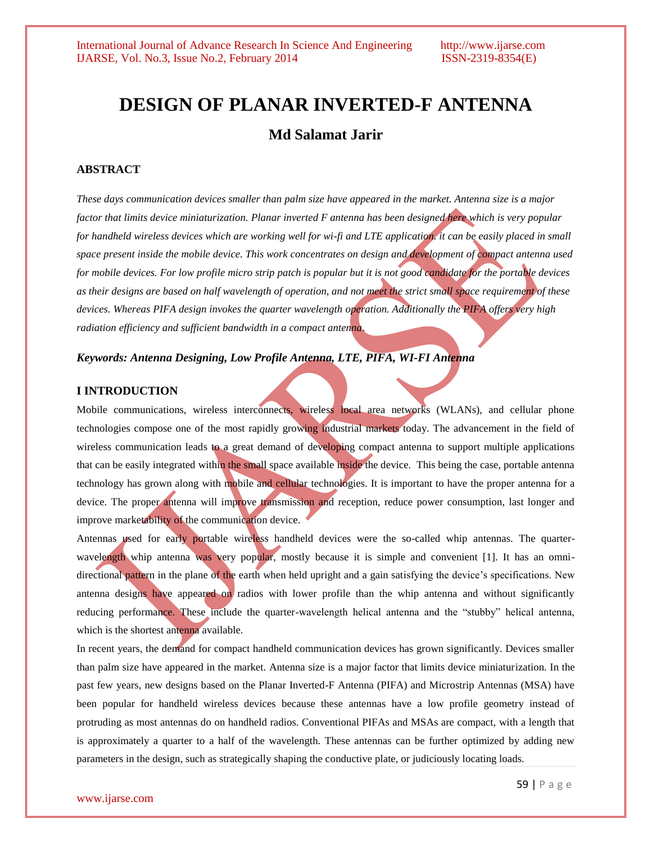## **DESIGN OF PLANAR INVERTED-F ANTENNA**

## **Md Salamat Jarir**

#### **ABSTRACT**

*These days communication devices smaller than palm size have appeared in the market. Antenna size is a major factor that limits device miniaturization. Planar inverted F antenna has been designed here which is very popular for handheld wireless devices which are working well for wi-fi and LTE application. it can be easily placed in small space present inside the mobile device. This work concentrates on design and development of compact antenna used for mobile devices. For low profile micro strip patch is popular but it is not good candidate for the portable devices as their designs are based on half wavelength of operation, and not meet the strict small space requirement of these devices. Whereas PIFA design invokes the quarter wavelength operation. Additionally the PIFA offers very high radiation efficiency and sufficient bandwidth in a compact antenna*.

#### *Keywords: Antenna Designing, Low Profile Antenna, LTE, PIFA, WI-FI Antenna*

#### **I INTRODUCTION**

Mobile communications, wireless interconnects, wireless local area networks (WLANs), and cellular phone technologies compose one of the most rapidly growing industrial markets today. The advancement in the field of wireless communication leads to a great demand of developing compact antenna to support multiple applications that can be easily integrated within the small space available inside the device. This being the case, portable antenna technology has grown along with mobile and cellular technologies. It is important to have the proper antenna for a device. The proper antenna will improve transmission and reception, reduce power consumption, last longer and improve marketability of the communication device.

Antennas used for early portable wireless handheld devices were the so-called whip antennas. The quarterwavelength whip antenna was very popular, mostly because it is simple and convenient [1]. It has an omnidirectional pattern in the plane of the earth when held upright and a gain satisfying the device's specifications. New antenna designs have appeared on radios with lower profile than the whip antenna and without significantly reducing performance. These include the quarter-wavelength helical antenna and the "stubby" helical antenna, which is the shortest antenna available.

In recent years, the demand for compact handheld communication devices has grown significantly. Devices smaller than palm size have appeared in the market. Antenna size is a major factor that limits device miniaturization. In the past few years, new designs based on the Planar Inverted-F Antenna (PIFA) and Microstrip Antennas (MSA) have been popular for handheld wireless devices because these antennas have a low profile geometry instead of protruding as most antennas do on handheld radios. Conventional PIFAs and MSAs are compact, with a length that is approximately a quarter to a half of the wavelength. These antennas can be further optimized by adding new parameters in the design, such as strategically shaping the conductive plate, or judiciously locating loads.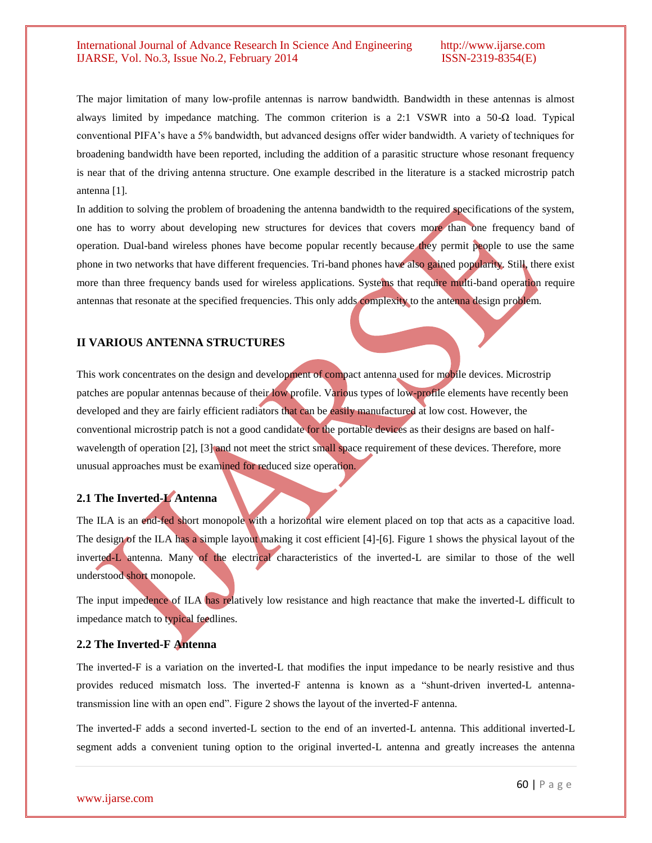The major limitation of many low-profile antennas is narrow bandwidth. Bandwidth in these antennas is almost always limited by impedance matching. The common criterion is a 2:1 VSWR into a 50-Ω load. Typical conventional PIFA's have a 5% bandwidth, but advanced designs offer wider bandwidth. A variety of techniques for broadening bandwidth have been reported, including the addition of a parasitic structure whose resonant frequency is near that of the driving antenna structure. One example described in the literature is a stacked microstrip patch antenna [1].

In addition to solving the problem of broadening the antenna bandwidth to the required specifications of the system, one has to worry about developing new structures for devices that covers more than one frequency band of operation. Dual-band wireless phones have become popular recently because they permit people to use the same phone in two networks that have different frequencies. Tri-band phones have also gained popularity. Still, there exist more than three frequency bands used for wireless applications. Systems that require multi-band operation require antennas that resonate at the specified frequencies. This only adds complexity to the antenna design problem.

#### **II VARIOUS ANTENNA STRUCTURES**

This work concentrates on the design and development of compact antenna used for mobile devices. Microstrip patches are popular antennas because of their low profile. Various types of low-profile elements have recently been developed and they are fairly efficient radiators that can be easily manufactured at low cost. However, the conventional microstrip patch is not a good candidate for the portable devices as their designs are based on halfwavelength of operation [2], [3] and not meet the strict small space requirement of these devices. Therefore, more unusual approaches must be examined for reduced size operation.

#### **2.1 The Inverted-L Antenna**

The ILA is an end-fed short monopole with a horizontal wire element placed on top that acts as a capacitive load. The design of the ILA has a simple layout making it cost efficient [4]-[6]. Figure 1 shows the physical layout of the inverted-L antenna. Many of the electrical characteristics of the inverted-L are similar to those of the well understood short monopole.

The input impedence of ILA has relatively low resistance and high reactance that make the inverted-L difficult to impedance match to typical feedlines.

#### **2.2 The Inverted-F Antenna**

The inverted-F is a variation on the inverted-L that modifies the input impedance to be nearly resistive and thus provides reduced mismatch loss. The inverted-F antenna is known as a "shunt-driven inverted-L antennatransmission line with an open end". Figure 2 shows the layout of the inverted-F antenna.

The inverted-F adds a second inverted-L section to the end of an inverted-L antenna. This additional inverted-L segment adds a convenient tuning option to the original inverted-L antenna and greatly increases the antenna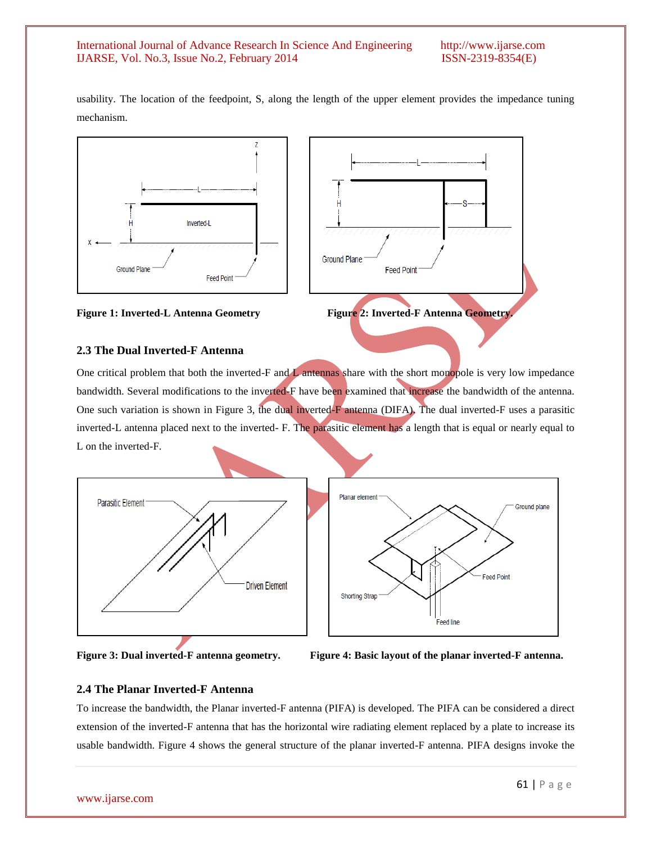usability. The location of the feedpoint, S, along the length of the upper element provides the impedance tuning mechanism.



#### **Figure 1: Inverted-L Antenna Geometry Figure 2: Inverted-F Antenna Geometry.**

# **2.3 The Dual Inverted-F Antenna**

One critical problem that both the inverted-F and L antennas share with the short monopole is very low impedance bandwidth. Several modifications to the inverted-F have been examined that increase the bandwidth of the antenna. One such variation is shown in Figure 3, the dual inverted-F antenna (DIFA). The dual inverted-F uses a parasitic inverted-L antenna placed next to the inverted- F. The parasitic element has a length that is equal or nearly equal to L on the inverted-F.





### **2.4 The Planar Inverted-F Antenna**

To increase the bandwidth, the Planar inverted-F antenna (PIFA) is developed. The PIFA can be considered a direct extension of the inverted-F antenna that has the horizontal wire radiating element replaced by a plate to increase its usable bandwidth. Figure 4 shows the general structure of the planar inverted-F antenna. PIFA designs invoke the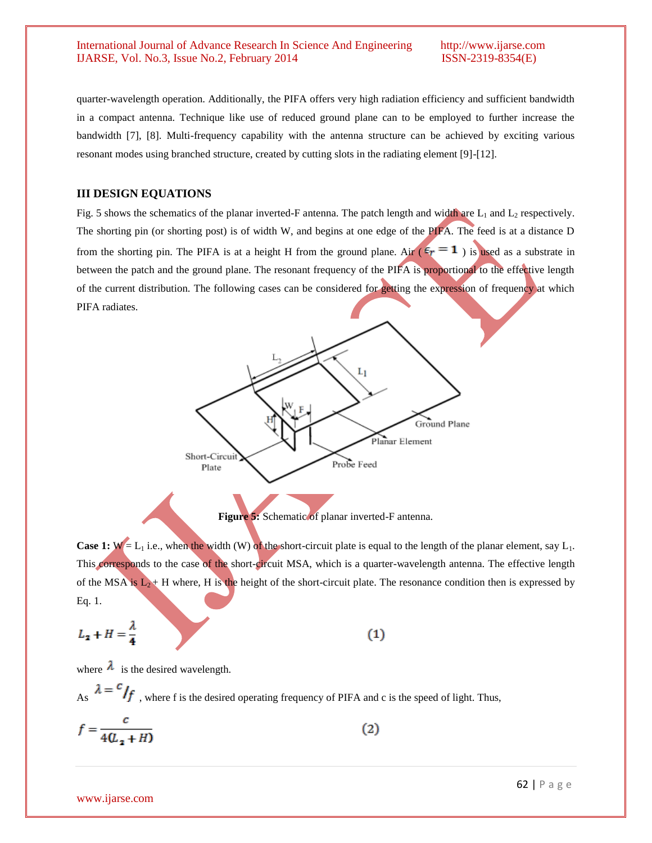quarter-wavelength operation. Additionally, the PIFA offers very high radiation efficiency and sufficient bandwidth in a compact antenna. Technique like use of reduced ground plane can to be employed to further increase the bandwidth [7], [8]. Multi-frequency capability with the antenna structure can be achieved by exciting various resonant modes using branched structure, created by cutting slots in the radiating element [9]-[12].

#### **III DESIGN EQUATIONS**

Fig. 5 shows the schematics of the planar inverted-F antenna. The patch length and width are  $L_1$  and  $L_2$  respectively. The shorting pin (or shorting post) is of width W, and begins at one edge of the PIFA. The feed is at a distance D from the shorting pin. The PIFA is at a height H from the ground plane. Air ( $\epsilon_r = 1$ ) is used as a substrate in between the patch and the ground plane. The resonant frequency of the PIFA is proportional to the effective length of the current distribution. The following cases can be considered for getting the expression of frequency at which PIFA radiates.



**Figure 5:** Schematic of planar inverted-F antenna.

**Case 1:**  $W = L_1$  i.e., when the width (W) of the short-circuit plate is equal to the length of the planar element, say  $L_1$ . This corresponds to the case of the short-circuit MSA, which is a quarter-wavelength antenna. The effective length of the MSA is  $L_2$  + H where, H is the height of the short-circuit plate. The resonance condition then is expressed by Eq. 1.

$$
L_2 + H = \frac{\lambda}{4}
$$

 $(1)$ 

where  $\lambda$  is the desired wavelength.

As  $\lambda = c/f$ , where f is the desired operating frequency of PIFA and c is the speed of light. Thus,

$$
f = \frac{c}{4(\mathcal{L}_2 + H)}\tag{2}
$$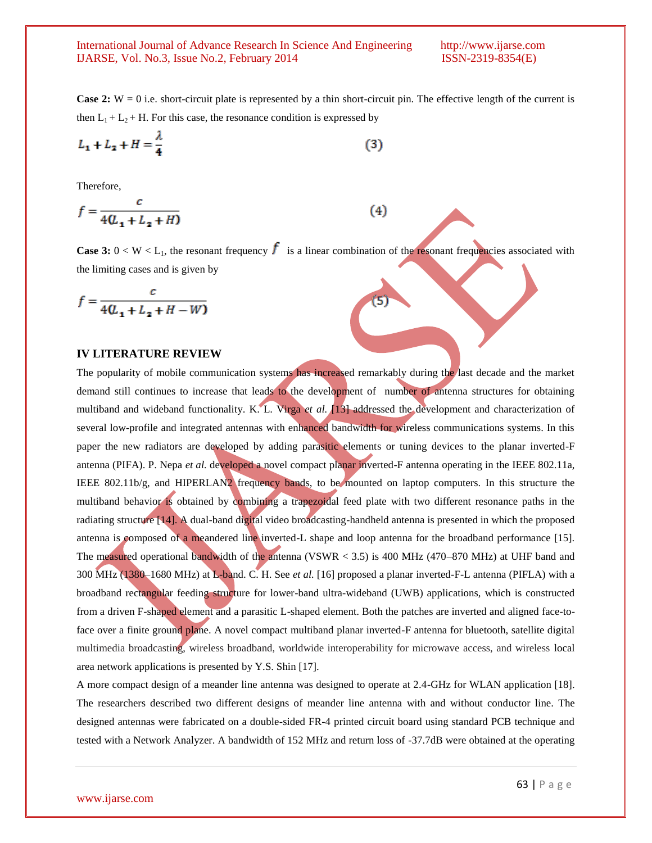**Case 2:** W = 0 i.e. short-circuit plate is represented by a thin short-circuit pin. The effective length of the current is then  $L_1 + L_2 + H$ . For this case, the resonance condition is expressed by

$$
L_1 + L_2 + H = \frac{\lambda}{4} \tag{3}
$$

Therefore,

$$
f = \frac{c}{4(\underline{L_1} + \underline{L_2} + H)}
$$

**Case 3:**  $0 < W < L_1$ , the resonant frequency  $f$  is a linear combination of the resonant frequencies associated with the limiting cases and is given by

 $(4)$ 

$$
f = \frac{c}{4(U_1 + L_2 + H - W)}
$$

#### **IV LITERATURE REVIEW**

The popularity of mobile communication systems has increased remarkably during the last decade and the market demand still continues to increase that leads to the development of number of antenna structures for obtaining multiband and wideband functionality. K. L. Virga *et al.* [13] addressed the development and characterization of several low-profile and integrated antennas with enhanced bandwidth for wireless communications systems. In this paper the new radiators are developed by adding parasitic elements or tuning devices to the planar inverted-F antenna (PIFA). P. Nepa *et al.* developed a novel compact planar inverted-F antenna operating in the IEEE 802.11a, IEEE 802.11b/g, and HIPERLAN2 frequency bands, to be mounted on laptop computers. In this structure the multiband behavior is obtained by combining a trapezoidal feed plate with two different resonance paths in the radiating structure [14]. A dual-band digital video broadcasting-handheld antenna is presented in which the proposed antenna is composed of a meandered line inverted-L shape and loop antenna for the broadband performance [15]. The measured operational bandwidth of the antenna (VSWR < 3.5) is 400 MHz (470–870 MHz) at UHF band and 300 MHz (1380–1680 MHz) at L-band. C. H. See *et al.* [16] proposed a planar inverted-F-L antenna (PIFLA) with a broadband rectangular feeding structure for lower-band ultra-wideband (UWB) applications, which is constructed from a driven F-shaped element and a parasitic L-shaped element. Both the patches are inverted and aligned face-toface over a finite ground plane. A novel compact multiband planar inverted-F antenna for bluetooth, satellite digital multimedia broadcasting, wireless broadband, worldwide interoperability for microwave access, and wireless local area network applications is presented by Y.S. Shin [17].

A more compact design of a meander line antenna was designed to operate at 2.4-GHz for WLAN application [18]. The researchers described two different designs of meander line antenna with and without conductor line. The designed antennas were fabricated on a double-sided FR-4 printed circuit board using standard PCB technique and tested with a Network Analyzer. A bandwidth of 152 MHz and return loss of -37.7dB were obtained at the operating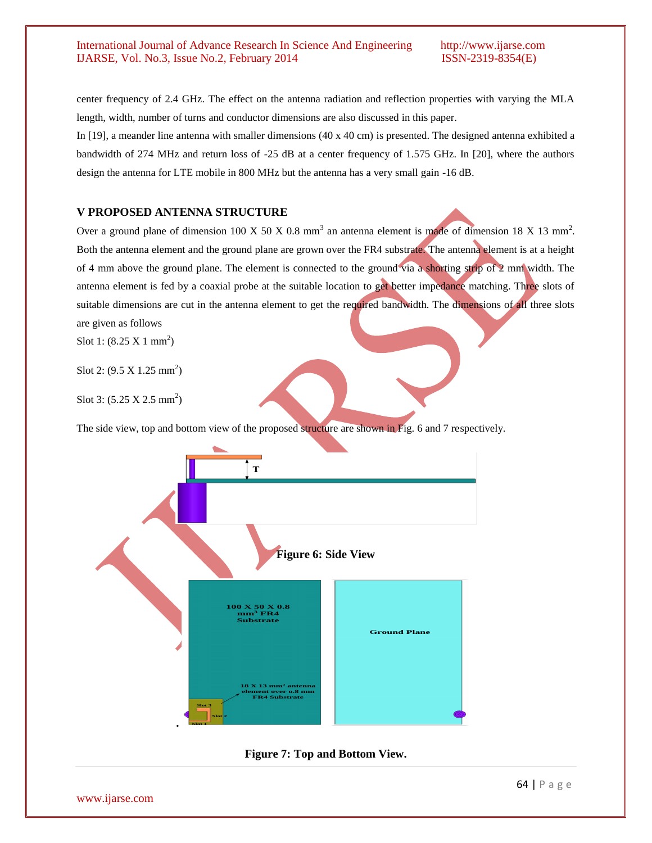center frequency of 2.4 GHz. The effect on the antenna radiation and reflection properties with varying the MLA length, width, number of turns and conductor dimensions are also discussed in this paper.

In [19], a meander line antenna with smaller dimensions (40 x 40 cm) is presented. The designed antenna exhibited a bandwidth of 274 MHz and return loss of -25 dB at a center frequency of 1.575 GHz. In [20], where the authors design the antenna for LTE mobile in 800 MHz but the antenna has a very small gain -16 dB.

#### **V PROPOSED ANTENNA STRUCTURE**

Over a ground plane of dimension 100 X 50 X 0.8 mm<sup>3</sup> an antenna element is made of dimension 18 X 13 mm<sup>2</sup>. Both the antenna element and the ground plane are grown over the FR4 substrate. The antenna element is at a height of 4 mm above the ground plane. The element is connected to the ground via a shorting strip of 2 mm width. The antenna element is fed by a coaxial probe at the suitable location to get better impedance matching. Three slots of suitable dimensions are cut in the antenna element to get the required bandwidth. The dimensions of all three slots are given as follows

Slot 1:  $(8.25 \text{ X } 1 \text{ mm}^2)$ 

Slot 2:  $(9.5 \times 1.25 \text{ mm}^2)$ 

Slot 3:  $(5.25 \text{ X } 2.5 \text{ mm}^2)$ 

The side view, top and bottom view of the proposed structure are shown in Fig. 6 and 7 respectively.



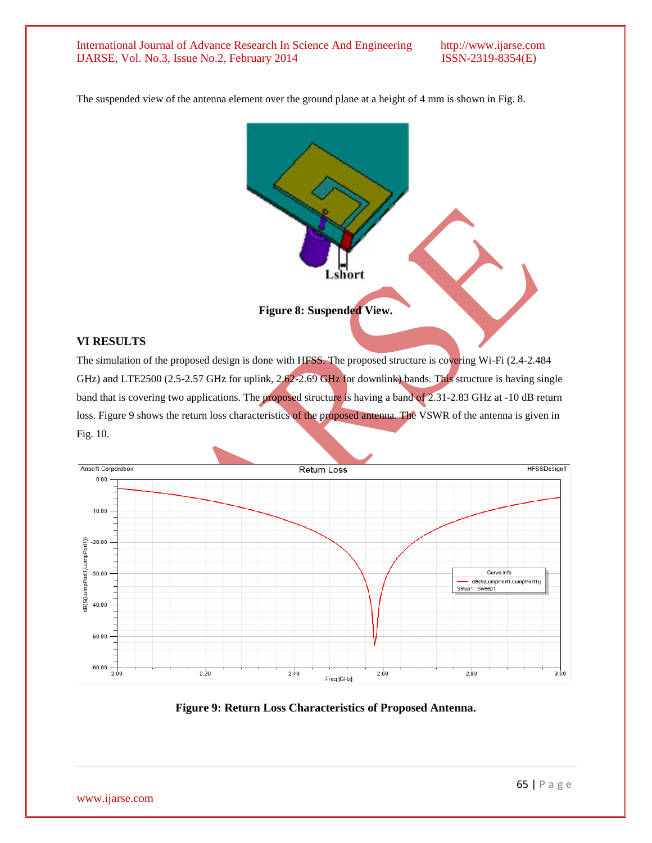The suspended view of the antenna element over the ground plane at a height of 4 mm is shown in Fig. 8.



#### **VI RESULTS**

The simulation of the proposed design is done with HFSS. The proposed structure is covering Wi-Fi (2.4-2.484 GHz) and LTE2500 (2.5-2.57 GHz for uplink, 2.62-2.69 GHz for downlink) bands. This structure is having single band that is covering two applications. The proposed structure is having a band of 2.31-2.83 GHz at -10 dB return loss. Figure 9 shows the return loss characteristics of the proposed antenna. The VSWR of the antenna is given in Fig. 10.



**Figure 9: Return Loss Characteristics of Proposed Antenna.**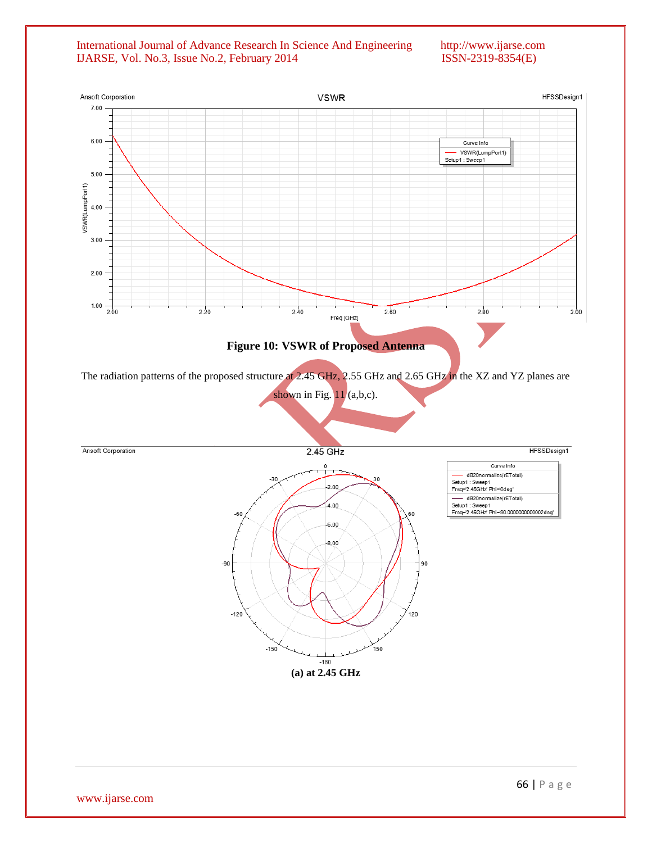#### International Journal of Advance Research In Science And Engineering http://www.ijarse.com IJARSE, Vol. No.3, Issue No.2, February 2014 ISSN-2319-8354(E) IJARSE, Vol. No.3, Issue No.2, February 2014

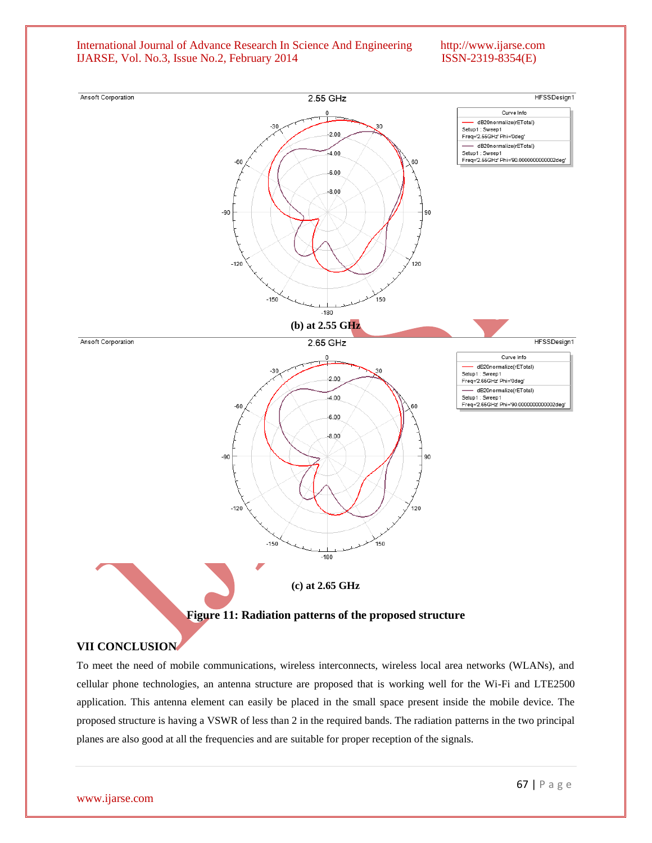

To meet the need of mobile communications, wireless interconnects, wireless local area networks (WLANs), and cellular phone technologies, an antenna structure are proposed that is working well for the Wi-Fi and LTE2500 application. This antenna element can easily be placed in the small space present inside the mobile device. The proposed structure is having a VSWR of less than 2 in the required bands. The radiation patterns in the two principal planes are also good at all the frequencies and are suitable for proper reception of the signals.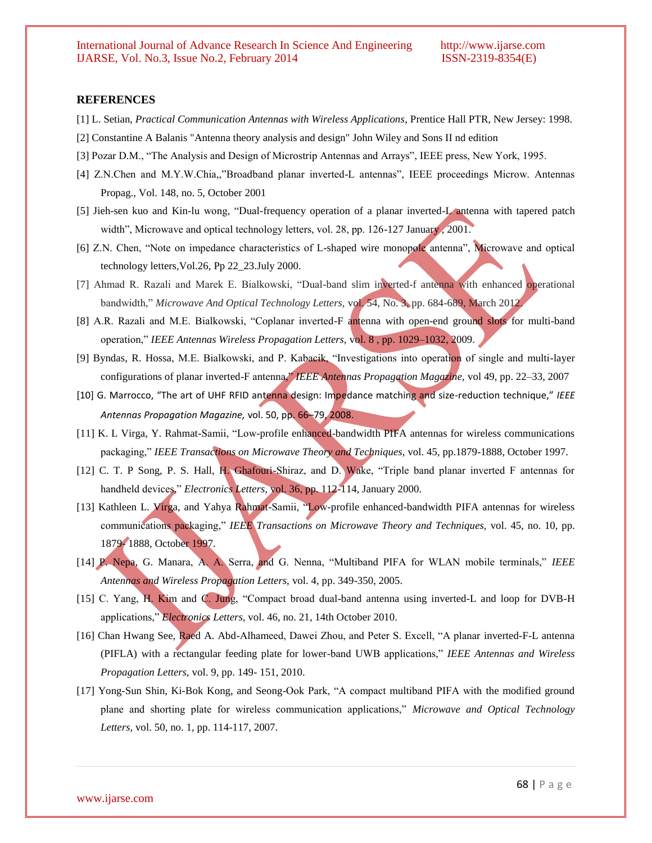#### **REFERENCES**

- [1] L. Setian, *Practical Communication Antennas with Wireless Applications*, Prentice Hall PTR, New Jersey: 1998.
- [2] Constantine A Balanis "Antenna theory analysis and design" John Wiley and Sons II nd edition
- [3] Pozar D.M., "The Analysis and Design of Microstrip Antennas and Arrays", IEEE press, New York, 1995.
- [4] Z.N.Chen and M.Y.W.Chia,,"Broadband planar inverted-L antennas", IEEE proceedings Microw. Antennas Propag., Vol. 148, no. 5, October 2001
- [5] Jieh-sen kuo and Kin-lu wong, "Dual-frequency operation of a planar inverted-L antenna with tapered patch width", Microwave and optical technology letters, vol. 28, pp. 126-127 January , 2001.
- [6] Z.N. Chen, "Note on impedance characteristics of L-shaped wire monopole antenna", Microwave and optical technology letters,Vol.26, Pp 22\_23.July 2000.
- [7] Ahmad R. Razali and Marek E. Bialkowski, "Dual-band slim inverted-f antenna with enhanced operational bandwidth," *Microwave And Optical Technology Letters,* vol. 54, No. 3, pp. 684-689, March 2012.
- [8] A.R. Razali and M.E. Bialkowski, "Coplanar inverted-F antenna with open-end ground slots for multi-band operation," *IEEE Antennas Wireless Propagation Letters,* vol. 8 , pp. 1029–1032, 2009.
- [9] Byndas, R. Hossa, M.E. Bialkowski, and P. Kabacik, "Investigations into operation of single and multi-layer configurations of planar inverted-F antenna," *IEEE Antennas Propagation Magazine,* vol 49, pp. 22–33, 2007
- [10] G. Marrocco, "The art of UHF RFID antenna design: Impedance matching and size-reduction technique," *IEEE Antennas Propagation Magazine,* vol. 50, pp. 66–79, 2008.
- [11] K. L Virga, Y. Rahmat-Samii, "Low-profile enhanced-bandwidth PIFA antennas for wireless communications packaging," *IEEE Transactions on Microwave Theory and Techniques,* vol. 45, pp.1879-1888, October 1997.
- [12] C. T. P Song, P. S. Hall, H. Ghafouri-Shiraz, and D. Wake, "Triple band planar inverted F antennas for handheld devices," *Electronics Letters,* vol. 36, pp. 112-114, January 2000.
- [13] Kathleen L. Virga, and Yahya Rahmat-Samii, "Low-profile enhanced-bandwidth PIFA antennas for wireless communications packaging," *IEEE Transactions on Microwave Theory and Techniques,* vol. 45, no. 10, pp. 1879- 1888, October 1997.
- [14] P. Nepa, G. Manara, A. A. Serra, and G. Nenna, "Multiband PIFA for WLAN mobile terminals," *IEEE Antennas and Wireless Propagation Letters,* vol. 4, pp. 349-350, 2005.
- [15] C. Yang, H. Kim and C. Jung, "Compact broad dual-band antenna using inverted-L and loop for DVB-H applications," *Electronics Letters,* vol. 46, no. 21, 14th October 2010.
- [16] Chan Hwang See, Raed A. Abd-Alhameed, Dawei Zhou, and Peter S. Excell, "A planar inverted-F-L antenna (PIFLA) with a rectangular feeding plate for lower-band UWB applications," *IEEE Antennas and Wireless Propagation Letters,* vol. 9, pp. 149- 151, 2010.
- [17] Yong-Sun Shin, Ki-Bok Kong, and Seong-Ook Park, "A compact multiband PIFA with the modified ground plane and shorting plate for wireless communication applications," *Microwave and Optical Technology Letters,* vol. 50, no. 1, pp. 114-117, 2007.